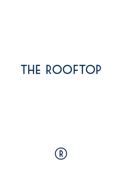# THE ROOFTOP

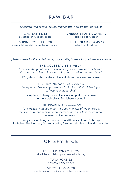## RAW BAR

*all served with cocktail sauce, mignonette, horseradish, hot sauce*

OYSTERS 18/32 selection of ½ dozen/dozen

SHRIMP COCKTAIL 20 horseradish cocktail sauce, lemon, tabasco CHERRY STONE CLAMS 12 selection of ½ dozen

LITTLE NECK CLAMS 14 selection of ½ dozen

*platters served with cocktail sauce, mignonette, horseradish, hot sauce, romesco*

THE COUSTEAU 68 (serves 2-4) "the sea, the great unifier, is man's only hope. now, as ever before, the old phrase has a literal meaning: we are all in the same boat"

12 oysters, 6 cherry stone clams, 4 shrimp, 4 snow crab claws

THE HEMINGWAY 125 (serves 4-6) "always do sober what you said you'd do drunk, that will teach you to keep your mouth shut"

12 oysters, 6 cherry stone clams, 6 shrimp, 3oz tuna poke, 6 snow crab claws, 3oz lobster cocktail

THE KRAKEN 185 (serves 6-8) "the kraken is the legendary like sea monster of gigantic size, the sheer size and fearsome appearance have made it the common ocean-dwelling monster"

24 oysters, 6 cherry stone clams, 6 little neck clams, 6 shrimp, 1 whole chilled lobster, 6oz tuna poke, 8 snow crab claws, 8oz king crab leg

## CRISPY RICE

LOBSTER DYNAMITE 25 maine lobster, tobiko, spicy sesame kupie mayo

> TUNA POKE 22 avocado, crispy shallots

SPICY SALMON 20 atlantic salmon, scallions, cucumber, lemon crema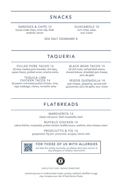## SNACKS

SARDINES & CHIPS 12 house made chips, onion dip, fresh sardines, lemon

GUACAMOLE 10 corn chips, salsa, sour cream

SEA SALT EDAMAME 8

## TAQUERIA

PULLED PORK TACOS 14 (3) slow roasted pork shoulder, chili bbq, queso fresco, pickled onion, siracha crema

TEQUILA LIME CHICKEN TACOS 14 (3) patron marinated pulled chicken, lime, napa cabbage, cilanto, tomatillo salsa

BLACK BEAN TACOS 15 (3) chili mole, refried black beans, shaved lettuce, shredded jack cheese, pico de gallo

VEGGIE QUESADILLA 14 jack cheese, jalapeños, served with guacamole, pico de gallo, sour cream

### FLATBREADS

MARGHERITA 12 classic red sauce, fresh mozzarella, basil

BUFFALO CHICKEN 14 crème fraîche, mozzarella, pulled chicken, buffalo sauce, scallions, blue cheese cream

> PROSCIUTTO & FIG 16 gorgonzola, fig jam, prosciutto, arugula, lemon zest

#### FOR THOSE OF US WITH ALLERGIES

we take this pretty seriously, so please alert your server of any allergies or dietary restrictions



EXECUTIVE CHEF: BRIAN CRAWFORD

consuming raw or undercooked meats, poultry, seafood, shellfish or egg may increase your risk of food borne illness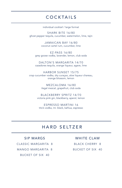## COCKTAILS

individual cocktail / large format

SHARK BITE 16/80 ghost pepper tequila, cucumber, watermelon, lime, tajin

> JAMAICAN BAY 16/80 coconut cartel rum, cucumber, lime

EZ-PASS 16/80 grey goose vodka, lavender, lemon, club soda

DALTON'S MARGARITA 14/70 cazadores tequila, orange liqueur, agave, lime

HARBOR SUNSET 15/75 crop cucumber vodka, dry curaçao, aloe liqueur chareau, orange blossom, lemon

> MEZCALOMA 16/80 ilegal mezcal, grapefruit, club soda

BLACKBERRY SPRITZ 14/70 victoria pink gin, blackberry, aperol, lemon

ESPRESSO MARTINI 16 tito's vodka, mr. black, kahlua, espresso

## HARD SELTZER

#### SIP MARGS

CLASSIC MARGARITA 8

MANGO MARGARITA 8

BUCKET OF SIX 40

#### WHITE CLAW

BLACK CHERRY 8

BUCKET OF SIX 40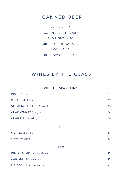## CANNED BEER

CORONA LIGHT 7/35\* BUD LIGHT 6/30\* MICHELOB ULTRA 7/35\* KONA 8/40\* ROCKAWAY IPA 8/40\* can / bucket of 6

## WINES BY THE GLASS

## WHITE / SPARKLING PROSECCO and the state of the state of the state of the state of the state of the state of the state of the state of the state of the state of the state of the state of the state of the state of the state of the state of t

| PINOT GRIGIO Lavis, it     |             | 12 |
|----------------------------|-------------|----|
| SAUVIGNON BLANC Buisse, fr |             | 13 |
| CHARDONNAY Boen, ca        |             | 14 |
| CHABLIS Louis Jadot, fr    |             | 18 |
|                            | <b>ROSÉ</b> |    |
| Studio by Miraval, fr      |             | 14 |
| Summer Water, ca           |             | 12 |
|                            | <b>RED</b>  |    |
| PINOT NOIR J Vineyards, ca |             | 15 |
| CABERNET Uppercut, ca      |             | 15 |
| MALBEC Colores Del Sol, ar |             | 12 |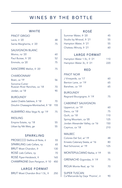## WINES BY THE BOTTLE

#### **WHITE**

| <b>PINOT GRIGIO</b>                            |     |
|------------------------------------------------|-----|
| Lavis, it '20                                  | 48  |
| Santa Margherita, it '20                       | 75  |
| <b>SAUVIGNON BLANC</b>                         |     |
| Momo, nz '20                                   | 60  |
| Paul Buisse, fr '20                            | 52  |
| Emmolo, ca '20                                 | 75  |
| SANCERRE Mellot, fr '20                        | 75  |
| <b>CHARDONNAY</b>                              |     |
| Boen, ca '19                                   | 56  |
| Sonoma-Cutrer<br>Russian River Ranches, ca '18 | 70  |
| Jordan, ca '18                                 | 90  |
| <b>BURGUNDY</b>                                |     |
| Jadot Chablis Sabliere, fr '18                 | 70  |
| Drouhin Chassagne-Montrachet, fr '18           | 155 |
| ALBARIÑO Alba Vega N, sp '19                   | 75  |
| <b>RIESLING</b>                                |     |
| Empire Estate, ny '18                          | 55  |
| Urban by Nik Weis, ge                          | 55  |
| SPARKLING                                      |     |
| PROSECCO Stellina di Note, it                  | 55  |
| SPARKLING Lieb Cellars, ny                     | 65  |
| <b>BRUT</b> Moet Chandon, fr                   | 130 |
| ROSÉ Lieb Cellars, ny                          | 70  |
| ROSE Piper-Heidsieck, fr                       | 165 |
| CHAMPAGNE Dom Perignon, fr '10                 | 450 |
|                                                |     |

#### LARGE FORMAT

| BRUT Moet Chandon Brut 1.5L, fr<br>250 |
|----------------------------------------|
|                                        |

#### ROSÉ

| Summer Water, fr '20      | 45 |
|---------------------------|----|
| Studio by Miraval, fr '21 | 55 |
| Hampton Water, fr '21     | 55 |
| Chateau Minuty, fr '21    | 60 |

#### LARGE FORMAT

| Hampton Water 1.5L, fr '21 | 110 |
|----------------------------|-----|
| Hampton Water 3L, fr '21   | 220 |

#### RED

| PINOT NOIR                                              |     |
|---------------------------------------------------------|-----|
| J Vineyards, ca '17                                     | 60  |
| Benton Lane, or '19                                     | 65  |
| Banshee, ca '19                                         | 65  |
| <b>BURGUNDY</b>                                         |     |
| Regnard Bourgogne, fr '19                               | 75  |
| <b>CABERNET SAUVIGNON</b>                               |     |
| Uppercut, ca '19                                        | 60  |
| Daou, ca '18                                            | 75  |
| Quilt, ca '18                                           | 110 |
| Spring Mountain, ca '05                                 | 125 |
| Jordan Alexander Valley, ca '16                         | 150 |
| Caymus, ca '18                                          | 210 |
| <b>MALBEC</b>                                           |     |
| Colores Del Sol, ar' 19                                 | 48  |
| Ernesto Catenary Siesta, ar '16                         | 80  |
| Red Schooner, ar '19                                    | 125 |
| MONTEPULCIANO Barba, it '19                             | 55  |
| GRENACHE Gigondas, fr '19                               | 75  |
| RIOJA Monte Real, sp '16                                | 70  |
| <b>SUPER TUSCAN</b><br>Ca'Marcanda by Gaja 'Promis', it | 90  |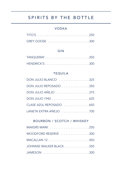## SPIRITS BY THE BOTTLE

#### VODKA

| GREY GOOSE 300 |  |  |  |  |  |  |  |  |  |  |  |  |
|----------------|--|--|--|--|--|--|--|--|--|--|--|--|

#### GIN

| TANQUERAY250 |  |  |  |  |  |  |  |  |  |  |  |
|--------------|--|--|--|--|--|--|--|--|--|--|--|
|              |  |  |  |  |  |  |  |  |  |  |  |

#### TEQUILA

| DON JULIO BLANCO 325    |  |
|-------------------------|--|
| DON JULIO REPOSADO 350  |  |
| DON JULIO AÑEJO 375     |  |
| DON JULIO 1942 625      |  |
| CLASE AZUL REPOSADO 650 |  |
| LANETA EXTRA AÑEJO 700  |  |

#### BOURBON / SCOTCH / WHISKEY

| MAKERS MARK 250         |  |
|-------------------------|--|
| WOODFORD RESERVE 300    |  |
|                         |  |
| JOHNNIE WALKER BLACK350 |  |
| JAMESON 300             |  |